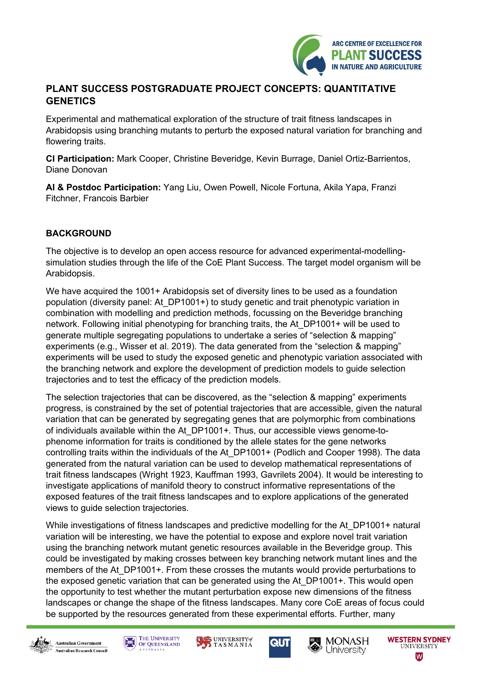

## **PLANT SUCCESS POSTGRADUATE PROJECT CONCEPTS: QUANTITATIVE GENETICS**

Experimental and mathematical exploration of the structure of trait fitness landscapes in Arabidopsis using branching mutants to perturb the exposed natural variation for branching and flowering traits.

**CI Participation:** Mark Cooper, Christine Beveridge, Kevin Burrage, Daniel Ortiz-Barrientos, Diane Donovan

**AI & Postdoc Participation:** Yang Liu, Owen Powell, Nicole Fortuna, Akila Yapa, Franzi Fitchner, Francois Barbier

## **BACKGROUND**

The objective is to develop an open access resource for advanced experimental-modellingsimulation studies through the life of the CoE Plant Success. The target model organism will be Arabidopsis.

We have acquired the 1001+ Arabidopsis set of diversity lines to be used as a foundation population (diversity panel: At\_DP1001+) to study genetic and trait phenotypic variation in combination with modelling and prediction methods, focussing on the Beveridge branching network. Following initial phenotyping for branching traits, the At\_DP1001+ will be used to generate multiple segregating populations to undertake a series of "selection & mapping" experiments (e.g., Wisser et al. 2019). The data generated from the "selection & mapping" experiments will be used to study the exposed genetic and phenotypic variation associated with the branching network and explore the development of prediction models to guide selection trajectories and to test the efficacy of the prediction models.

The selection trajectories that can be discovered, as the "selection & mapping" experiments progress, is constrained by the set of potential trajectories that are accessible, given the natural variation that can be generated by segregating genes that are polymorphic from combinations of individuals available within the At\_DP1001+. Thus, our accessible views genome-tophenome information for traits is conditioned by the allele states for the gene networks controlling traits within the individuals of the At\_DP1001+ (Podlich and Cooper 1998). The data generated from the natural variation can be used to develop mathematical representations of trait fitness landscapes (Wright 1923, Kauffman 1993, Gavrilets 2004). It would be interesting to investigate applications of manifold theory to construct informative representations of the exposed features of the trait fitness landscapes and to explore applications of the generated views to guide selection trajectories.

While investigations of fitness landscapes and predictive modelling for the At DP1001+ natural variation will be interesting, we have the potential to expose and explore novel trait variation using the branching network mutant genetic resources available in the Beveridge group. This could be investigated by making crosses between key branching network mutant lines and the members of the At DP1001+. From these crosses the mutants would provide perturbations to the exposed genetic variation that can be generated using the At\_DP1001+. This would open the opportunity to test whether the mutant perturbation expose new dimensions of the fitness landscapes or change the shape of the fitness landscapes. Many core CoE areas of focus could be supported by the resources generated from these experimental efforts. Further, many













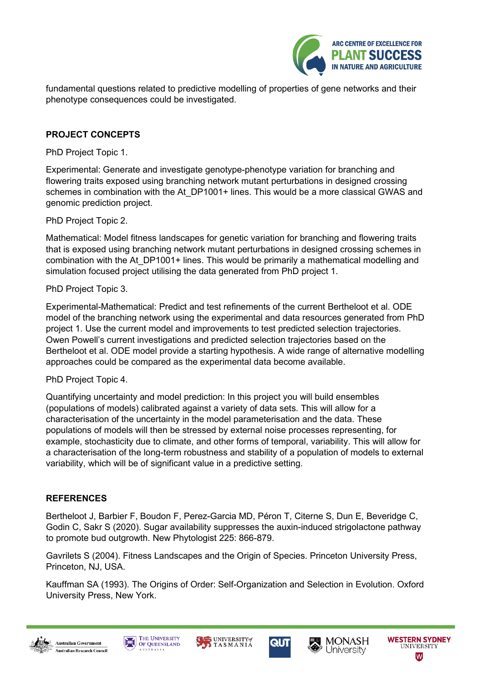

fundamental questions related to predictive modelling of properties of gene networks and their phenotype consequences could be investigated.

## **PROJECT CONCEPTS**

PhD Project Topic 1.

Experimental: Generate and investigate genotype-phenotype variation for branching and flowering traits exposed using branching network mutant perturbations in designed crossing schemes in combination with the At DP1001+ lines. This would be a more classical GWAS and genomic prediction project.

PhD Project Topic 2.

Mathematical: Model fitness landscapes for genetic variation for branching and flowering traits that is exposed using branching network mutant perturbations in designed crossing schemes in combination with the At\_DP1001+ lines. This would be primarily a mathematical modelling and simulation focused project utilising the data generated from PhD project 1.

PhD Project Topic 3.

Experimental-Mathematical: Predict and test refinements of the current Bertheloot et al. ODE model of the branching network using the experimental and data resources generated from PhD project 1. Use the current model and improvements to test predicted selection trajectories. Owen Powell's current investigations and predicted selection trajectories based on the Bertheloot et al. ODE model provide a starting hypothesis. A wide range of alternative modelling approaches could be compared as the experimental data become available.

PhD Project Topic 4.

Quantifying uncertainty and model prediction: In this project you will build ensembles (populations of models) calibrated against a variety of data sets. This will allow for a characterisation of the uncertainty in the model parameterisation and the data. These populations of models will then be stressed by external noise processes representing, for example, stochasticity due to climate, and other forms of temporal, variability. This will allow for a characterisation of the long-term robustness and stability of a population of models to external variability, which will be of significant value in a predictive setting.

## **REFERENCES**

Bertheloot J, Barbier F, Boudon F, Perez-Garcia MD, Péron T, Citerne S, Dun E, Beveridge C, Godin C, Sakr S (2020). Sugar availability suppresses the auxin-induced strigolactone pathway to promote bud outgrowth. New Phytologist 225: 866-879.

Gavrilets S (2004). Fitness Landscapes and the Origin of Species. Princeton University Press, Princeton, NJ, USA.

Kauffman SA (1993). The Origins of Order: Self-Organization and Selection in Evolution. Oxford University Press, New York.